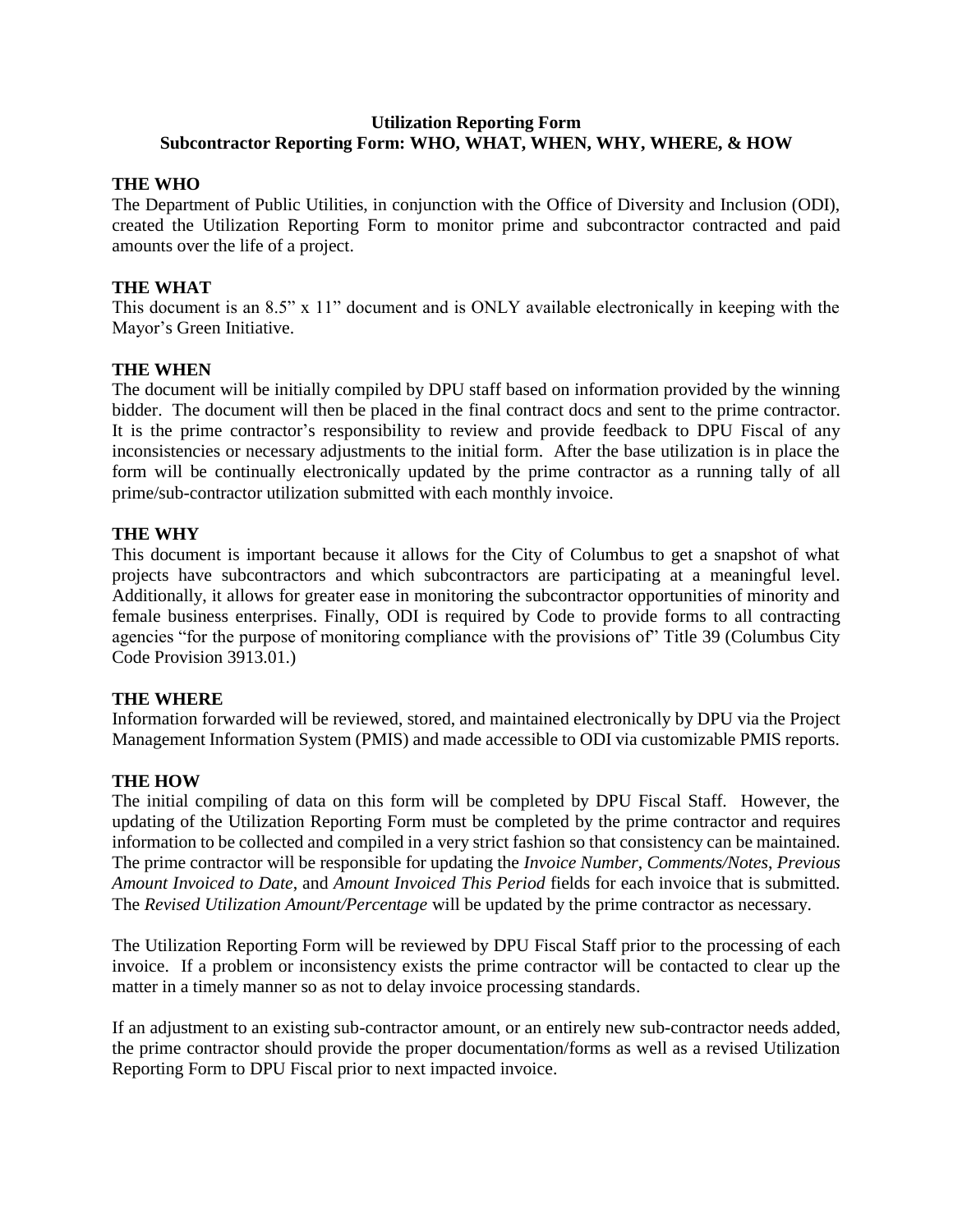# **Utilization Reporting Form Subcontractor Reporting Form: WHO, WHAT, WHEN, WHY, WHERE, & HOW**

### **THE WHO**

The Department of Public Utilities, in conjunction with the Office of Diversity and Inclusion (ODI), created the Utilization Reporting Form to monitor prime and subcontractor contracted and paid amounts over the life of a project.

# **THE WHAT**

This document is an 8.5" x 11" document and is ONLY available electronically in keeping with the Mayor's Green Initiative.

## **THE WHEN**

The document will be initially compiled by DPU staff based on information provided by the winning bidder. The document will then be placed in the final contract docs and sent to the prime contractor. It is the prime contractor's responsibility to review and provide feedback to DPU Fiscal of any inconsistencies or necessary adjustments to the initial form. After the base utilization is in place the form will be continually electronically updated by the prime contractor as a running tally of all prime/sub-contractor utilization submitted with each monthly invoice.

## **THE WHY**

This document is important because it allows for the City of Columbus to get a snapshot of what projects have subcontractors and which subcontractors are participating at a meaningful level. Additionally, it allows for greater ease in monitoring the subcontractor opportunities of minority and female business enterprises. Finally, ODI is required by Code to provide forms to all contracting agencies "for the purpose of monitoring compliance with the provisions of" Title 39 (Columbus City Code Provision 3913.01.)

#### **THE WHERE**

Information forwarded will be reviewed, stored, and maintained electronically by DPU via the Project Management Information System (PMIS) and made accessible to ODI via customizable PMIS reports.

#### **THE HOW**

The initial compiling of data on this form will be completed by DPU Fiscal Staff. However, the updating of the Utilization Reporting Form must be completed by the prime contractor and requires information to be collected and compiled in a very strict fashion so that consistency can be maintained. The prime contractor will be responsible for updating the *Invoice Number*, *Comments/Notes*, *Previous Amount Invoiced to Date*, and *Amount Invoiced This Period* fields for each invoice that is submitted. The *Revised Utilization Amount/Percentage* will be updated by the prime contractor as necessary.

The Utilization Reporting Form will be reviewed by DPU Fiscal Staff prior to the processing of each invoice. If a problem or inconsistency exists the prime contractor will be contacted to clear up the matter in a timely manner so as not to delay invoice processing standards.

If an adjustment to an existing sub-contractor amount, or an entirely new sub-contractor needs added, the prime contractor should provide the proper documentation/forms as well as a revised Utilization Reporting Form to DPU Fiscal prior to next impacted invoice.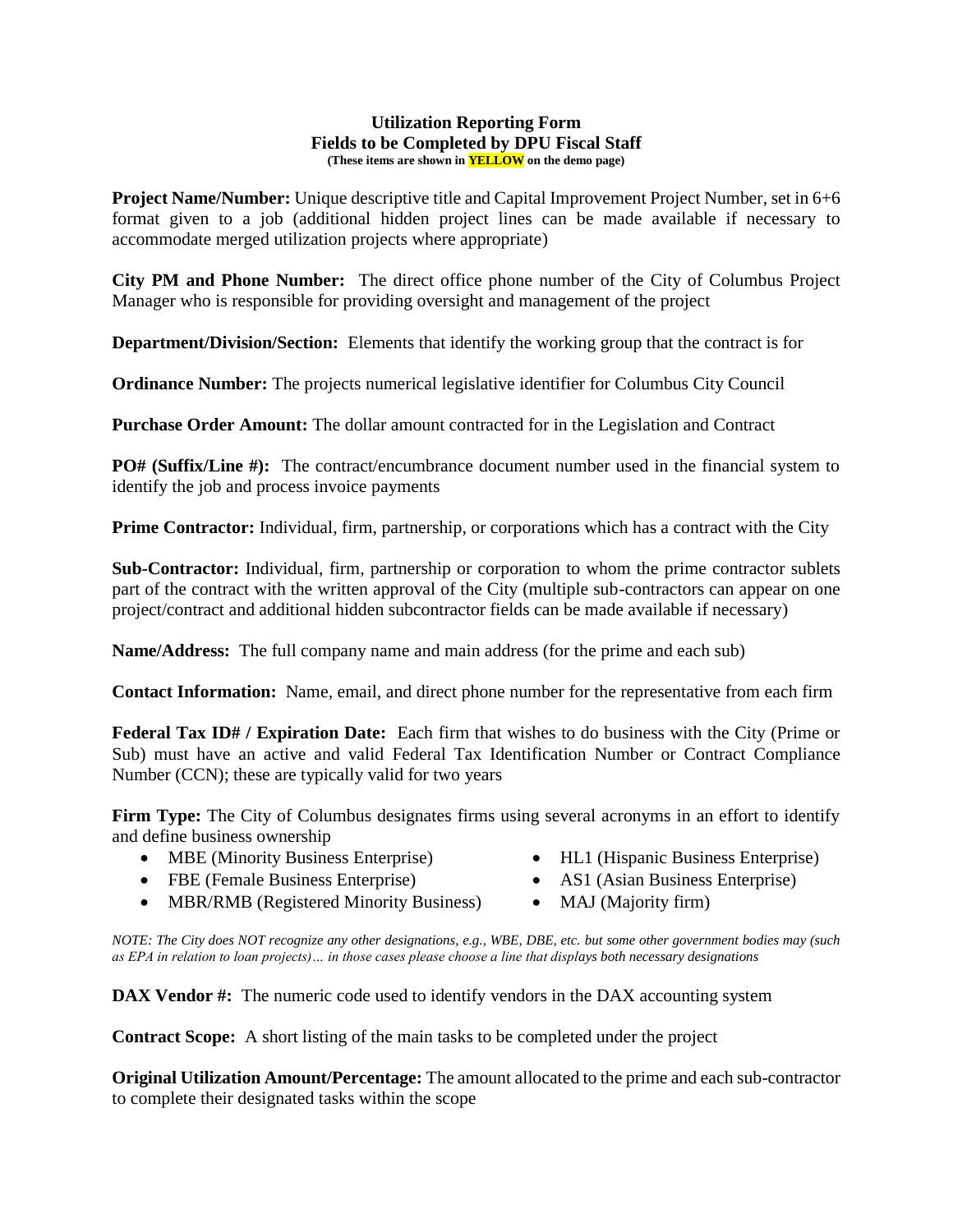#### **Utilization Reporting Form Fields to be Completed by DPU Fiscal Staff (These items are shown in YELLOW on the demo page)**

**Project Name/Number:** Unique descriptive title and Capital Improvement Project Number, set in 6+6 format given to a job (additional hidden project lines can be made available if necessary to accommodate merged utilization projects where appropriate)

**City PM and Phone Number:** The direct office phone number of the City of Columbus Project Manager who is responsible for providing oversight and management of the project

**Department/Division/Section:** Elements that identify the working group that the contract is for

**Ordinance Number:** The projects numerical legislative identifier for Columbus City Council

**Purchase Order Amount:** The dollar amount contracted for in the Legislation and Contract

**PO# (Suffix/Line #):** The contract/encumbrance document number used in the financial system to identify the job and process invoice payments

**Prime Contractor:** Individual, firm, partnership, or corporations which has a contract with the City

**Sub-Contractor:** Individual, firm, partnership or corporation to whom the prime contractor sublets part of the contract with the written approval of the City (multiple sub-contractors can appear on one project/contract and additional hidden subcontractor fields can be made available if necessary)

**Name/Address:** The full company name and main address (for the prime and each sub)

**Contact Information:** Name, email, and direct phone number for the representative from each firm

**Federal Tax ID# / Expiration Date:** Each firm that wishes to do business with the City (Prime or Sub) must have an active and valid Federal Tax Identification Number or Contract Compliance Number (CCN); these are typically valid for two years

**Firm Type:** The City of Columbus designates firms using several acronyms in an effort to identify and define business ownership

- MBE (Minority Business Enterprise)
- HL1 (Hispanic Business Enterprise)
- FBE (Female Business Enterprise)
- AS1 (Asian Business Enterprise) • MAJ (Majority firm)

*NOTE: The City does NOT recognize any other designations, e.g., WBE, DBE, etc. but some other government bodies may (such as EPA in relation to loan projects)… in those cases please choose a line that displays both necessary designations*

**DAX Vendor #:** The numeric code used to identify vendors in the DAX accounting system

**Contract Scope:** A short listing of the main tasks to be completed under the project

**Original Utilization Amount/Percentage:** The amount allocated to the prime and each sub-contractor to complete their designated tasks within the scope

• MBR/RMB (Registered Minority Business)